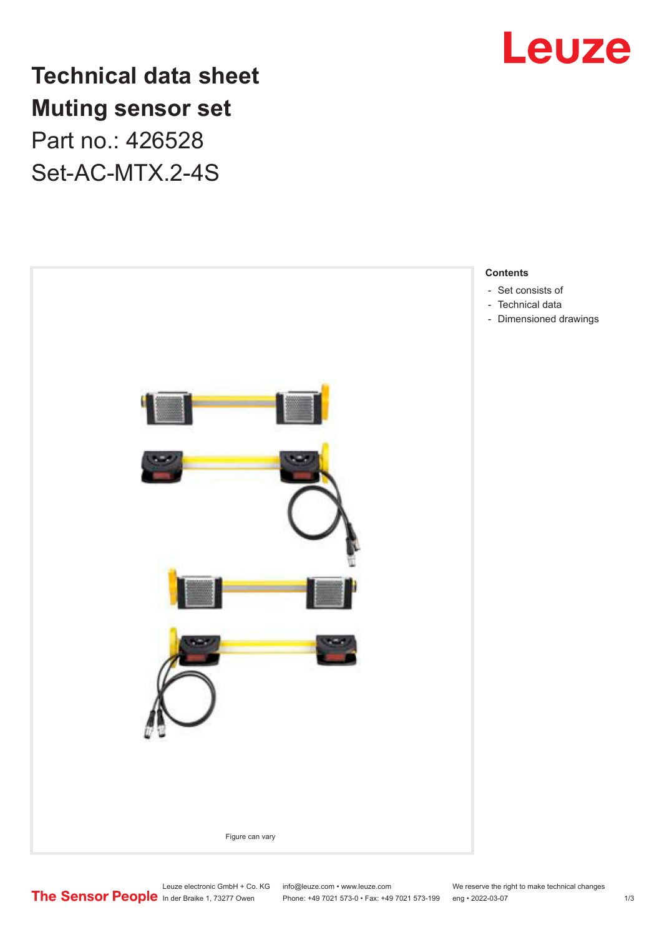

**Technical data sheet Muting sensor set** Part no.: 426528 Set-AC-MTX.2-4S



- [Dimensioned drawings](#page-2-0)

Leuze electronic GmbH + Co. KG info@leuze.com • www.leuze.com We reserve the right to make technical changes<br>
The Sensor People in der Braike 1, 73277 Owen Phone: +49 7021 573-0 • Fax: +49 7021 573-199 eng • 2022-03-07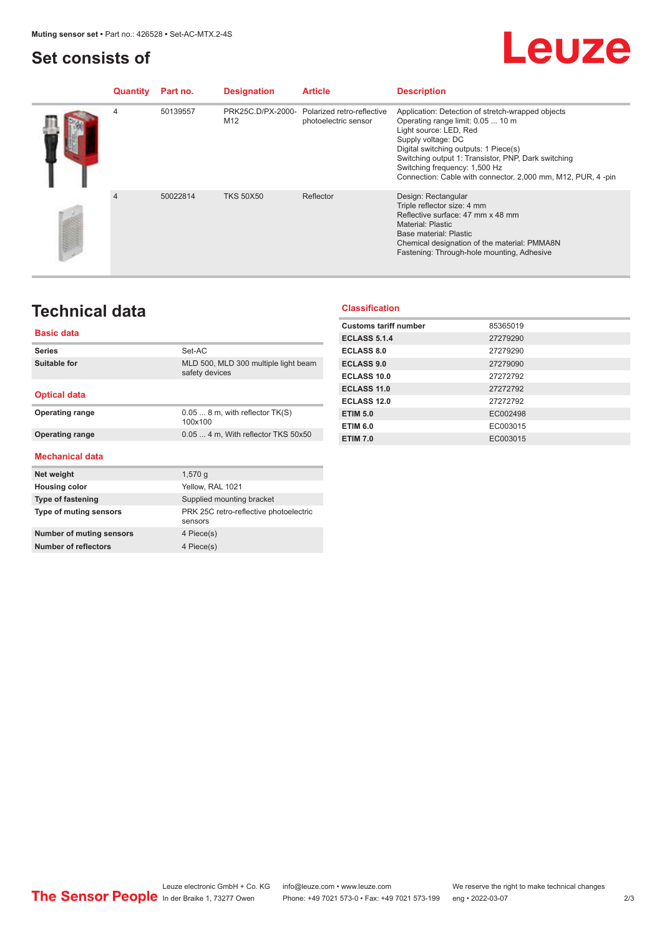### <span id="page-1-0"></span>**Set consists of**

# Leuze

| Quantity       | Part no. | <b>Designation</b> | <b>Article</b>                                                       | <b>Description</b>                                                                                                                                                                                                                                                                                                                      |
|----------------|----------|--------------------|----------------------------------------------------------------------|-----------------------------------------------------------------------------------------------------------------------------------------------------------------------------------------------------------------------------------------------------------------------------------------------------------------------------------------|
| 4              | 50139557 | M <sub>12</sub>    | PRK25C.D/PX-2000- Polarized retro-reflective<br>photoelectric sensor | Application: Detection of stretch-wrapped objects<br>Operating range limit: 0.05  10 m<br>Light source: LED, Red<br>Supply voltage: DC<br>Digital switching outputs: 1 Piece(s)<br>Switching output 1: Transistor, PNP, Dark switching<br>Switching frequency: 1,500 Hz<br>Connection: Cable with connector, 2,000 mm, M12, PUR, 4 -pin |
| $\overline{4}$ | 50022814 | <b>TKS 50X50</b>   | Reflector                                                            | Design: Rectangular<br>Triple reflector size: 4 mm<br>Reflective surface: 47 mm x 48 mm<br><b>Material: Plastic</b><br>Base material: Plastic<br>Chemical designation of the material: PMMA8N<br>Fastening: Through-hole mounting, Adhesive                                                                                             |

## **Technical data**

#### **Basic data**

| <b>Series</b>                   | Set-AC                                                 |  |  |  |  |  |
|---------------------------------|--------------------------------------------------------|--|--|--|--|--|
| <b>Suitable for</b>             | MLD 500, MLD 300 multiple light beam<br>safety devices |  |  |  |  |  |
| <b>Optical data</b>             |                                                        |  |  |  |  |  |
| <b>Operating range</b>          | $0.058$ m, with reflector $TK(S)$<br>100x100           |  |  |  |  |  |
| <b>Operating range</b>          | 0.05  4 m, With reflector TKS 50x50                    |  |  |  |  |  |
| Mechanical data                 |                                                        |  |  |  |  |  |
| Net weight                      | 1,570q                                                 |  |  |  |  |  |
| <b>Housing color</b>            |                                                        |  |  |  |  |  |
|                                 | Yellow, RAL 1021                                       |  |  |  |  |  |
| <b>Type of fastening</b>        | Supplied mounting bracket                              |  |  |  |  |  |
| Type of muting sensors          | PRK 25C retro-reflective photoelectric<br>sensors      |  |  |  |  |  |
| <b>Number of muting sensors</b> | 4 Piece(s)                                             |  |  |  |  |  |

#### **Classification**

| <b>Customs tariff number</b> | 85365019 |
|------------------------------|----------|
| <b>ECLASS 5.1.4</b>          | 27279290 |
| <b>ECLASS 8.0</b>            | 27279290 |
| <b>ECLASS 9.0</b>            | 27279090 |
| ECLASS 10.0                  | 27272792 |
| <b>ECLASS 11.0</b>           | 27272792 |
| ECLASS 12.0                  | 27272792 |
| <b>ETIM 5.0</b>              | EC002498 |
| <b>ETIM 6.0</b>              | EC003015 |
| <b>ETIM 7.0</b>              | EC003015 |